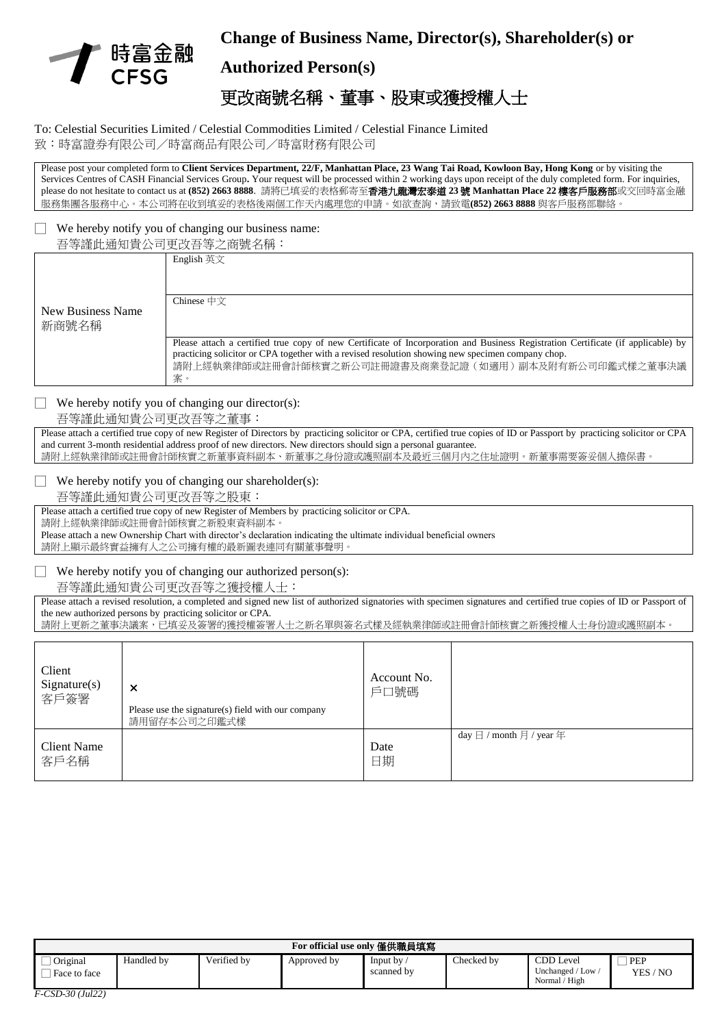

## **Change of Business Name, Director(s), Shareholder(s) or**

## **Authorized Person(s)**

# 更改商號名稱、董事、股東或獲授權人士

#### To: Celestial Securities Limited / Celestial Commodities Limited / Celestial Finance Limited 致:時富證券有限公司/時富商品有限公司/時富財務有限公司

Please post your completed form to **Client Services Department, 22/F, Manhattan Place, 23 Wang Tai Road, Kowloon Bay, Hong Kong** or by visiting the Services Centres of CASH Financial Services Group**.** Your request will be processed within 2 working days upon receipt of the duly completed form. For inquiries, please do not hesitate to contact us at **(852) 2663 8888**. 請將已填妥的表格郵寄至香港九龍灣宏泰道 **23** 號 **Manhattan Place 22** 樓客戶服務部或交回時富金融 服務集團各服務中心。本公司將在收到填妥的表格後兩個工作天內處理您的申請。如欲查詢,請致電**(852) 2663 8888** 與客戶服務部聯絡。

# We hereby notify you of changing our business name:

| 吾等謹此通知貴公司更改吾等之商號名稱 |            |  |  |  |
|--------------------|------------|--|--|--|
|                    | English 英文 |  |  |  |

|                   | English 英文                                                                                                                                                                                                                                                                                         |
|-------------------|----------------------------------------------------------------------------------------------------------------------------------------------------------------------------------------------------------------------------------------------------------------------------------------------------|
| New Business Name | Chinese $\oplus \forall$                                                                                                                                                                                                                                                                           |
| 新商號名稱             |                                                                                                                                                                                                                                                                                                    |
|                   | Please attach a certified true copy of new Certificate of Incorporation and Business Registration Certificate (if applicable) by<br>practicing solicitor or CPA together with a revised resolution showing new specimen company chop.<br>請附上經執業律師或註冊會計師核實之新公司註冊證書及商業登記證(如適用)副本及附有新公司印鑑式樣之董事決議<br>案 |

### $\Box$  We hereby notify you of changing our director(s):

#### 吾等謹此通知貴公司更改吾等之董事:

Please attach a certified true copy of new Register of Directors by practicing solicitor or CPA, certified true copies of ID or Passport by practicing solicitor or CPA and current 3-month residential address proof of new directors. New directors should sign a personal guarantee. 請附上經執業律師或註冊會計師核實之新董事資料副本、新董事之身份證或護照副本及最近三個月內之住址證明。新董事需要簽妥個人擔保書。

#### $\Box$  We hereby notify you of changing our shareholder(s):

吾等謹此通知貴公司更改吾等之股東:

Please attach a certified true copy of new Register of Members by practicing solicitor or CPA. 請附上經執業律師或註冊會計師核實之新股東資料副本。

Please attach a new Ownership Chart with director's declaration indicating the ultimate individual beneficial owners 請附上顯示最終實益擁有人之公司擁有權的最新圖表連同有關董事聲明

### $\Box$  We hereby notify you of changing our authorized person(s):

吾等謹此通知貴公司更改吾等之獲授權人士:

Please attach a revised resolution, a completed and signed new list of authorized signatories with specimen signatures and certified true copies of ID or Passport of the new authorized persons by practicing solicitor or CPA.

請附上更新之董事決議案,已填妥及簽署的獲授權簽署人士之新名單與簽名式樣及經執業律師或註冊會計師核實之新獲授權人士身份證或護照副本。

| Client<br>Signature(s)<br>客戶簽署 | $\times$<br>Please use the signature(s) field with our company<br>請用留存本公司之印鑑式樣 | Account No.<br>戶口號碼 |                                                     |
|--------------------------------|--------------------------------------------------------------------------------|---------------------|-----------------------------------------------------|
| <b>Client Name</b><br>客戶名稱     |                                                                                | Date<br>日期          | day $\boxminus$ / month $\boxminus$ / year $\oplus$ |

| For official use only 僅供職員填寫 |            |             |             |                        |            |                                                                         |                     |
|------------------------------|------------|-------------|-------------|------------------------|------------|-------------------------------------------------------------------------|---------------------|
| Original<br>Face to face     | Handled by | Verified by | Approved by | Input by<br>scanned by | Checked by | CDD Level<br>$\sqrt{}$ Low $\sqrt{}$<br>Jnchanged /<br>/ High<br>Normal | PEP<br>/ NO<br>YES, |
| $E$ $CCD$ $20/1.1221$        |            |             |             |                        |            |                                                                         |                     |